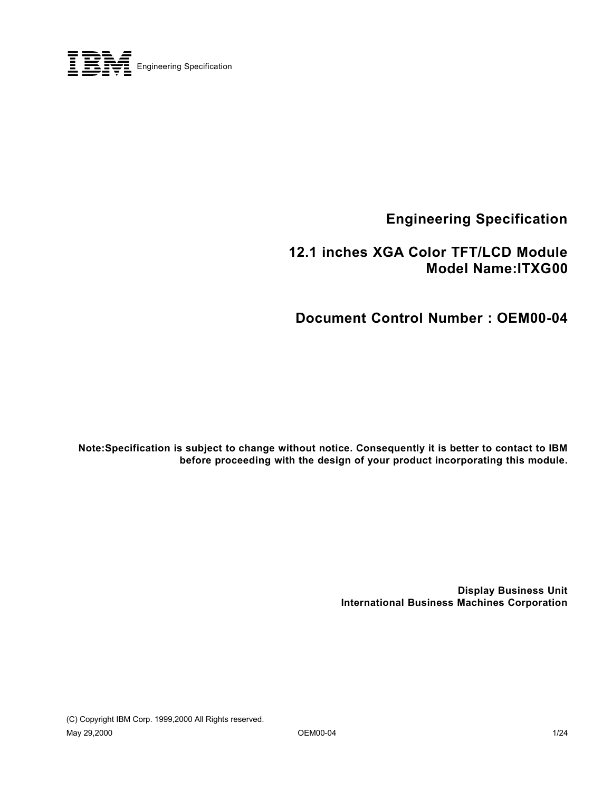

**Engineering Specification**

 **12.1 inches XGA Color TFT/LCD Module Model Name:ITXG00**

**Document Control Number : OEM00-04**

**Note:Specification is subject to change without notice. Consequently it is better to contact to IBM before proceeding with the design of your product incorporating this module.**

> **Display Business Unit International Business Machines Corporation**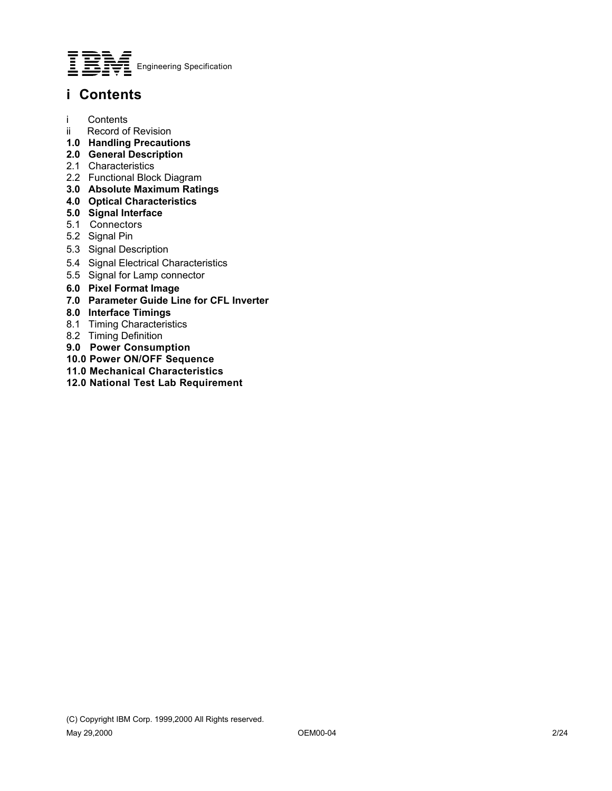

### **i Contents**

- i Contents
- ii Record of Revision
- **1.0 Handling Precautions**
- **2.0 General Description**
- 2.1 Characteristics
- 2.2 Functional Block Diagram
- **3.0 Absolute Maximum Ratings**
- **4.0 Optical Characteristics**
- **5.0 Signal Interface**
- 5.1 Connectors
- 5.2 Signal Pin
- 5.3 Signal Description
- 5.4 Signal Electrical Characteristics
- 5.5 Signal for Lamp connector
- **6.0 Pixel Format Image**
- **7.0 Parameter Guide Line for CFL Inverter**
- **8.0 Interface Timings**
- 8.1 Timing Characteristics
- 8.2 Timing Definition
- **9.0 Power Consumption**
- **10.0 Power ON/OFF Sequence**
- **11.0 Mechanical Characteristics**
- **12.0 National Test Lab Requirement**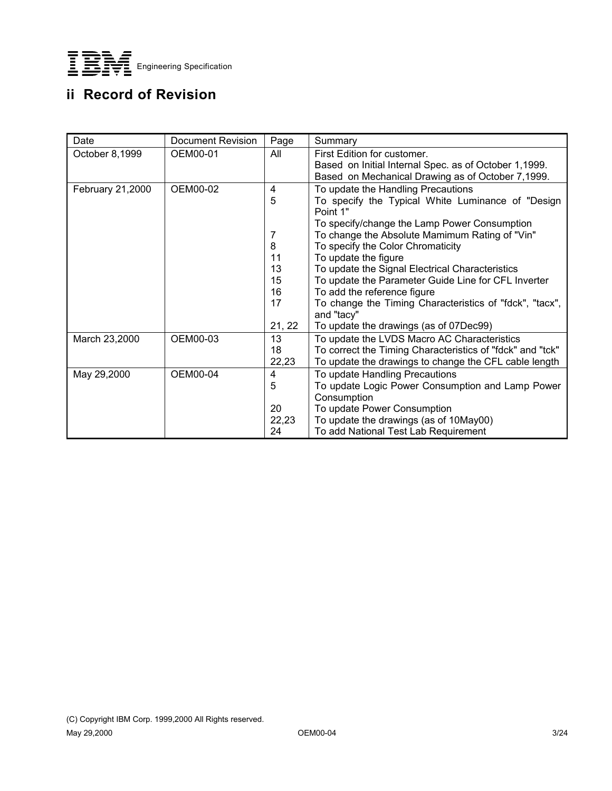

## **ii Record of Revision**

| Date             | Document Revision | Page     | Summary                                                                                 |
|------------------|-------------------|----------|-----------------------------------------------------------------------------------------|
| October 8,1999   | OEM00-01          | All      | First Edition for customer.<br>Based on Initial Internal Spec. as of October 1,1999.    |
|                  |                   |          | Based on Mechanical Drawing as of October 7,1999.                                       |
| February 21,2000 | OEM00-02          | 4<br>5   | To update the Handling Precautions<br>To specify the Typical White Luminance of "Design |
|                  |                   |          | Point 1"                                                                                |
|                  |                   |          | To specify/change the Lamp Power Consumption                                            |
|                  |                   | 7        | To change the Absolute Mamimum Rating of "Vin"                                          |
|                  |                   | 8        | To specify the Color Chromaticity                                                       |
|                  |                   | 11<br>13 | To update the figure<br>To update the Signal Electrical Characteristics                 |
|                  |                   | 15       | To update the Parameter Guide Line for CFL Inverter                                     |
|                  |                   | 16       | To add the reference figure                                                             |
|                  |                   | 17       | To change the Timing Characteristics of "fdck", "tacx",<br>and "tacy"                   |
|                  |                   | 21, 22   | To update the drawings (as of 07Dec99)                                                  |
| March 23,2000    | OEM00-03          | 13       | To update the LVDS Macro AC Characteristics                                             |
|                  |                   | 18       | To correct the Timing Characteristics of "fdck" and "tck"                               |
|                  |                   | 22,23    | To update the drawings to change the CFL cable length                                   |
| May 29,2000      | OEM00-04          | 4        | To update Handling Precautions                                                          |
|                  |                   | 5        | To update Logic Power Consumption and Lamp Power                                        |
|                  |                   | 20       | Consumption<br>To update Power Consumption                                              |
|                  |                   | 22,23    | To update the drawings (as of 10May00)                                                  |
|                  |                   | 24       | To add National Test Lab Requirement                                                    |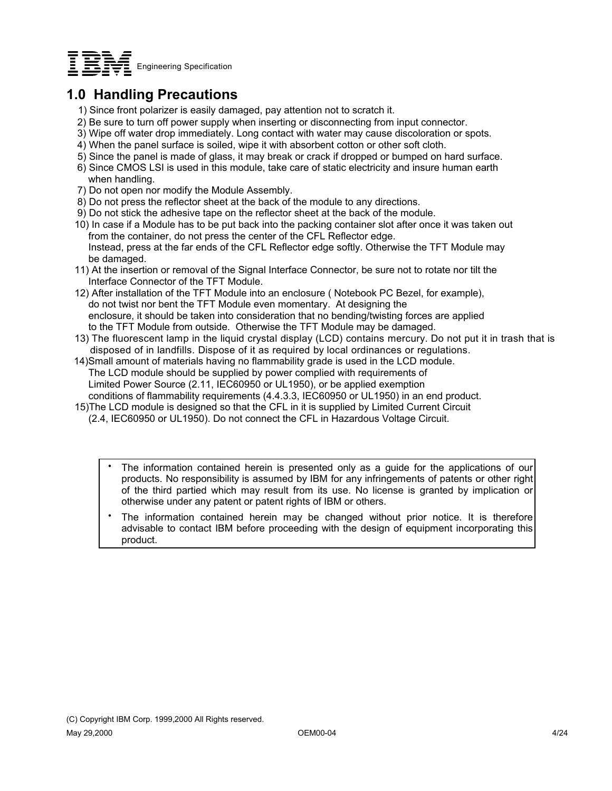

### **1.0 Handling Precautions**

- 1) Since front polarizer is easily damaged, pay attention not to scratch it.
- 2) Be sure to turn off power supply when inserting or disconnecting from input connector.
- 3) Wipe off water drop immediately. Long contact with water may cause discoloration or spots.
- 4) When the panel surface is soiled, wipe it with absorbent cotton or other soft cloth.
- 5) Since the panel is made of glass, it may break or crack if dropped or bumped on hard surface.
- 6) Since CMOS LSI is used in this module, take care of static electricity and insure human earth when handling.
- 7) Do not open nor modify the Module Assembly.
- 8) Do not press the reflector sheet at the back of the module to any directions.
- 9) Do not stick the adhesive tape on the reflector sheet at the back of the module.
- 10) In case if a Module has to be put back into the packing container slot after once it was taken out from the container, do not press the center of the CFL Reflector edge. Instead, press at the far ends of the CFL Reflector edge softly. Otherwise the TFT Module may be damaged.
- 11) At the insertion or removal of the Signal Interface Connector, be sure not to rotate nor tilt the Interface Connector of the TFT Module.
- 12) After installation of the TFT Module into an enclosure ( Notebook PC Bezel, for example), do not twist nor bent the TFT Module even momentary. At designing the enclosure, it should be taken into consideration that no bending/twisting forces are applied to the TFT Module from outside. Otherwise the TFT Module may be damaged.
- 13) The fluorescent lamp in the liquid crystal display (LCD) contains mercury. Do not put it in trash that is disposed of in landfills. Dispose of it as required by local ordinances or regulations.
- 14)Small amount of materials having no flammability grade is used in the LCD module. The LCD module should be supplied by power complied with requirements of Limited Power Source (2.11, IEC60950 or UL1950), or be applied exemption conditions of flammability requirements (4.4.3.3, IEC60950 or UL1950) in an end product.
- 15)The LCD module is designed so that the CFL in it is supplied by Limited Current Circuit (2.4, IEC60950 or UL1950). Do not connect the CFL in Hazardous Voltage Circuit.
	- The information contained herein is presented only as a guide for the applications of our products. No responsibility is assumed by IBM for any infringements of patents or other right of the third partied which may result from its use. No license is granted by implication or otherwise under any patent or patent rights of IBM or others.  $\bullet$
	- The information contained herein may be changed without prior notice. It is therefore advisable to contact IBM before proceeding with the design of equipment incorporating this product.  $\bullet$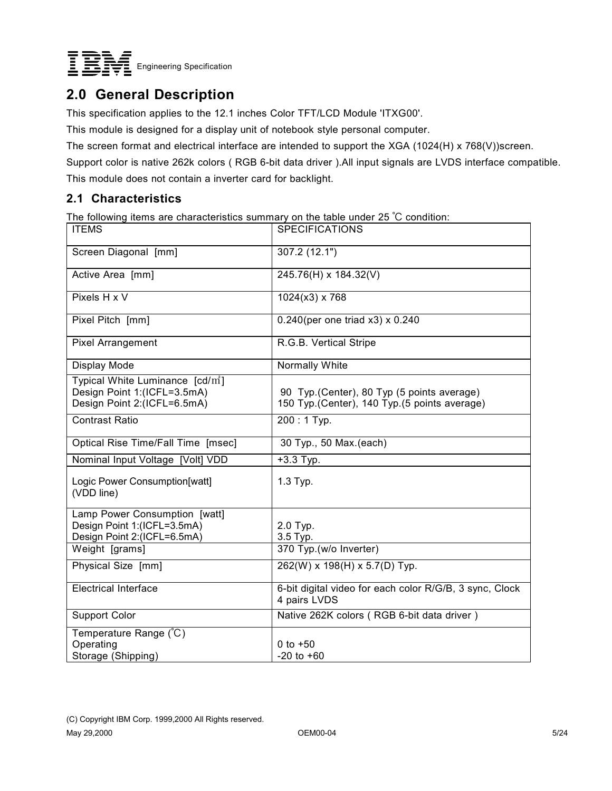

### **2.0 General Description**

This specification applies to the 12.1 inches Color TFT/LCD Module 'ITXG00'.

This module is designed for a display unit of notebook style personal computer.

The screen format and electrical interface are intended to support the XGA (1024(H) x 768(V))screen.

Support color is native 262k colors ( RGB 6-bit data driver ).All input signals are LVDS interface compatible.

This module does not contain a inverter card for backlight.

#### **2.1 Characteristics**

The following items are characteristics summary on the table under 25 °C condition:

| <b>ITEMS</b>                                                                                               | <b>SPECIFICATIONS</b>                                                                       |
|------------------------------------------------------------------------------------------------------------|---------------------------------------------------------------------------------------------|
| Screen Diagonal [mm]                                                                                       | 307.2 (12.1")                                                                               |
| Active Area [mm]                                                                                           | $245.76(H)$ x 184.32(V)                                                                     |
| Pixels H x V                                                                                               | $1024(x3)$ x 768                                                                            |
| Pixel Pitch [mm]                                                                                           | $0.240$ (per one triad x3) x 0.240                                                          |
| <b>Pixel Arrangement</b>                                                                                   | R.G.B. Vertical Stripe                                                                      |
| Display Mode                                                                                               | Normally White                                                                              |
| Typical White Luminance [cd/m <sup>2</sup> ]<br>Design Point 1:(ICFL=3.5mA)<br>Design Point 2:(ICFL=6.5mA) | 90 Typ. (Center), 80 Typ (5 points average)<br>150 Typ.(Center), 140 Typ.(5 points average) |
| <b>Contrast Ratio</b>                                                                                      | 200:1 Typ.                                                                                  |
| Optical Rise Time/Fall Time [msec]                                                                         | 30 Typ., 50 Max.(each)                                                                      |
| Nominal Input Voltage [Volt] VDD                                                                           | +3.3 Typ.                                                                                   |
| Logic Power Consumption[watt]<br>(VDD line)                                                                | 1.3 Typ.                                                                                    |
| Lamp Power Consumption [watt]                                                                              |                                                                                             |
| Design Point 1:(ICFL=3.5mA)<br>Design Point 2:(ICFL=6.5mA)                                                 | 2.0 Typ.<br>3.5 Typ.                                                                        |
| Weight [grams]                                                                                             | 370 Typ.(w/o Inverter)                                                                      |
| Physical Size [mm]                                                                                         | 262(W) x 198(H) x 5.7(D) Typ.                                                               |
| <b>Electrical Interface</b>                                                                                | 6-bit digital video for each color R/G/B, 3 sync, Clock<br>4 pairs LVDS                     |
| <b>Support Color</b>                                                                                       | Native 262K colors (RGB 6-bit data driver)                                                  |
| Temperature Range (°C)                                                                                     |                                                                                             |
| Operating                                                                                                  | 0 to $+50$                                                                                  |
| Storage (Shipping)                                                                                         | $-20$ to $+60$                                                                              |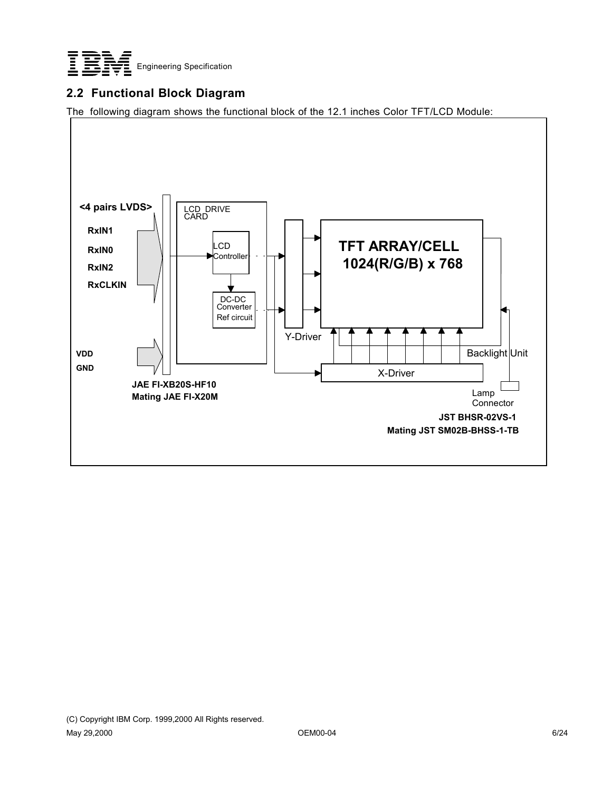

#### **2.2 Functional Block Diagram**

The following diagram shows the functional block of the 12.1 inches Color TFT/LCD Module:

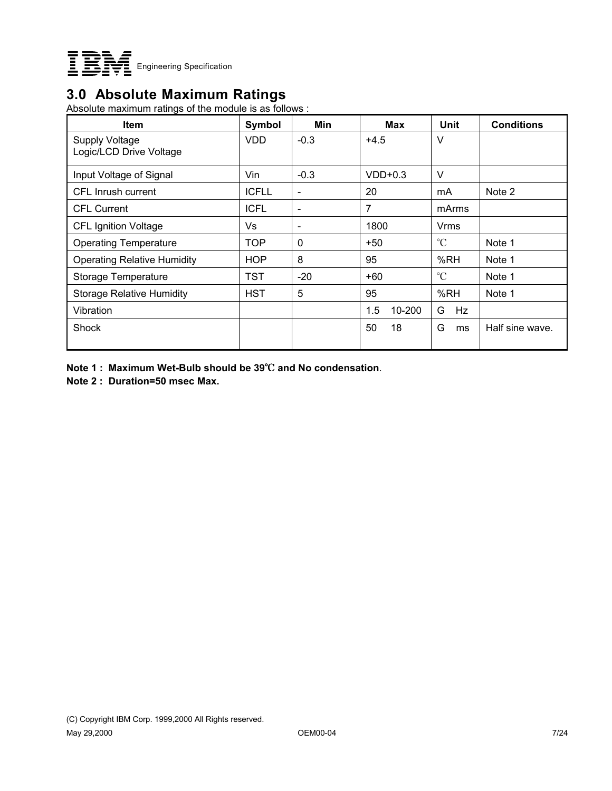

### **3.0 Absolute Maximum Ratings**

Absolute maximum ratings of the module is as follows :

| <b>Item</b>                                      | Symbol       | Min                      | <b>Max</b>    | Unit            | <b>Conditions</b> |
|--------------------------------------------------|--------------|--------------------------|---------------|-----------------|-------------------|
| <b>Supply Voltage</b><br>Logic/LCD Drive Voltage | <b>VDD</b>   | $-0.3$                   | $+4.5$        | V               |                   |
| Input Voltage of Signal                          | Vin          | $-0.3$                   | $VDD+0.3$     | V               |                   |
| CFL Inrush current                               | <b>ICFLL</b> | $\overline{\phantom{a}}$ | 20            | mA              | Note 2            |
| <b>CFL Current</b>                               | <b>ICFL</b>  | $\overline{\phantom{a}}$ | 7             | mArms           |                   |
| <b>CFL Ignition Voltage</b>                      | Vs           | $\overline{\phantom{a}}$ | 1800          | Vrms            |                   |
| <b>Operating Temperature</b>                     | <b>TOP</b>   | $\mathbf 0$              | $+50$         | $\rm ^{\circ}C$ | Note 1            |
| <b>Operating Relative Humidity</b>               | <b>HOP</b>   | 8                        | 95            | %RH             | Note 1            |
| Storage Temperature                              | TST          | $-20$                    | $+60$         | $\rm ^{\circ}C$ | Note 1            |
| <b>Storage Relative Humidity</b>                 | <b>HST</b>   | 5                        | 95            | %RH             | Note 1            |
| Vibration                                        |              |                          | 1.5<br>10-200 | G<br>Hz         |                   |
| Shock                                            |              |                          | 50<br>18      | G<br>ms         | Half sine wave.   |

**Note 1 : Maximum Wet-Bulb should be 39**℃ **and No condensation**.

**Note 2 : Duration=50 msec Max.**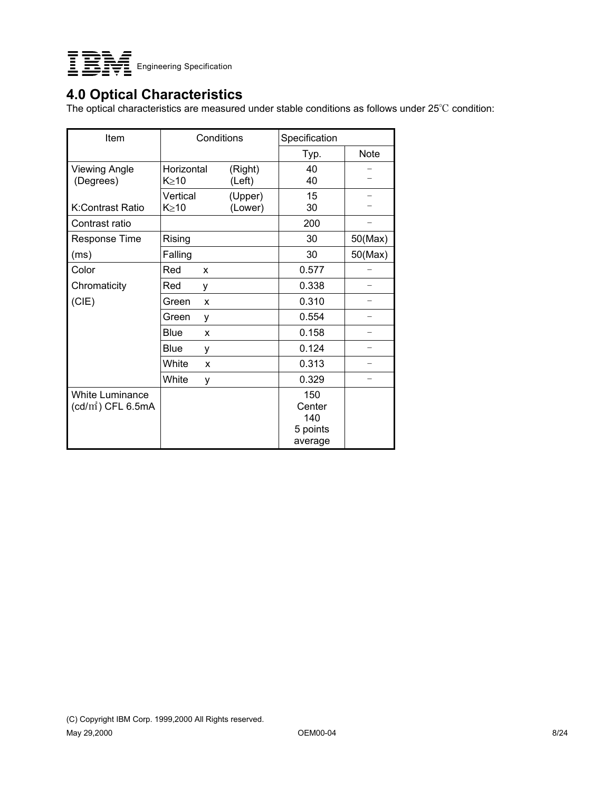

### **4.0 Optical Characteristics**

The optical characteristics are measured under stable conditions as follows under 25°C condition:

| Item                                           | Conditions              |                    | Specification                               |             |  |
|------------------------------------------------|-------------------------|--------------------|---------------------------------------------|-------------|--|
|                                                |                         |                    | Typ.                                        | <b>Note</b> |  |
| <b>Viewing Angle</b><br>(Degrees)              | Horizontal<br>K > 10    | (Right)<br>(Left)  | 40<br>40                                    |             |  |
| K:Contrast Ratio                               | Vertical<br>$K \geq 10$ | (Upper)<br>(Lower) | 15<br>30                                    |             |  |
| Contrast ratio                                 |                         |                    | 200                                         |             |  |
| Response Time                                  | Rising                  |                    | 30                                          | 50(Max)     |  |
| (ms)                                           | Falling                 |                    | 30                                          | 50(Max)     |  |
| Color                                          | Red<br>X                |                    | 0.577                                       |             |  |
| Chromaticity                                   | Red<br>у                |                    | 0.338                                       |             |  |
| (CIE)                                          | Green<br>X              |                    | 0.310                                       |             |  |
|                                                | Green<br>y              |                    | 0.554                                       |             |  |
|                                                | <b>Blue</b><br>X        |                    | 0.158                                       |             |  |
|                                                | Blue<br>у               |                    | 0.124                                       |             |  |
|                                                | White<br>X              |                    | 0.313                                       |             |  |
|                                                | White<br>y              |                    | 0.329                                       |             |  |
| <b>White Luminance</b><br>$(cd/m^2)$ CFL 6.5mA |                         |                    | 150<br>Center<br>140<br>5 points<br>average |             |  |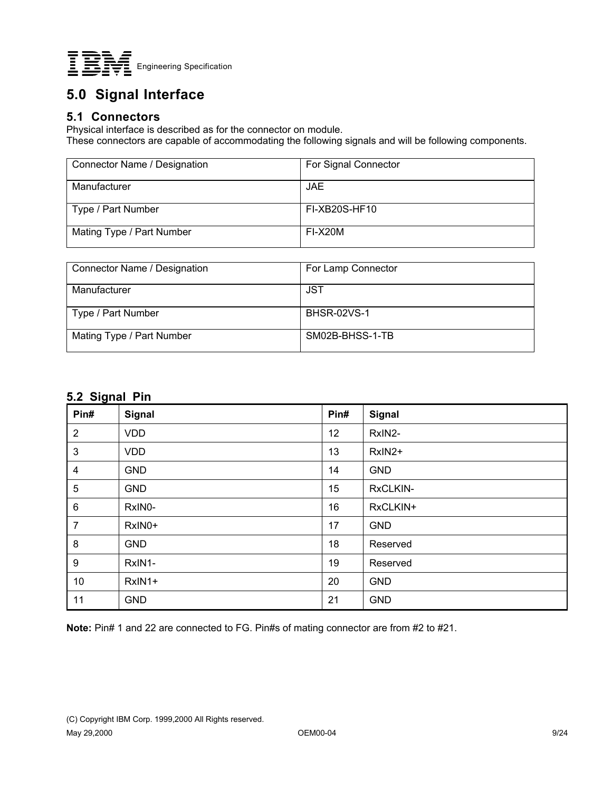

# **5.0 Signal Interface**

#### **5.1 Connectors**

Physical interface is described as for the connector on module.

These connectors are capable of accommodating the following signals and will be following components.

| Connector Name / Designation | For Signal Connector |
|------------------------------|----------------------|
| Manufacturer                 | JAE.                 |
| Type / Part Number           | FI-XB20S-HF10        |
| Mating Type / Part Number    | FI-X20M              |

| Connector Name / Designation | For Lamp Connector |
|------------------------------|--------------------|
| Manufacturer                 | <b>JST</b>         |
| Type / Part Number           | <b>BHSR-02VS-1</b> |
| Mating Type / Part Number    | SM02B-BHSS-1-TB    |

#### **5.2 Signal Pin**

| <u>.</u><br>Pin# | <b>Signal</b> | Pin# | Signal     |
|------------------|---------------|------|------------|
| $\overline{2}$   | <b>VDD</b>    | 12   | RxIN2-     |
| 3                | <b>VDD</b>    | 13   | RxIN2+     |
| 4                | <b>GND</b>    | 14   | <b>GND</b> |
| 5                | <b>GND</b>    | 15   | RxCLKIN-   |
| 6                | RxIN0-        | 16   | RxCLKIN+   |
| 7                | RxIN0+        | 17   | <b>GND</b> |
| 8                | <b>GND</b>    | 18   | Reserved   |
| 9                | RxIN1-        | 19   | Reserved   |
| 10               | RxIN1+        | 20   | <b>GND</b> |
| 11               | <b>GND</b>    | 21   | <b>GND</b> |

**Note:** Pin# 1 and 22 are connected to FG. Pin#s of mating connector are from #2 to #21.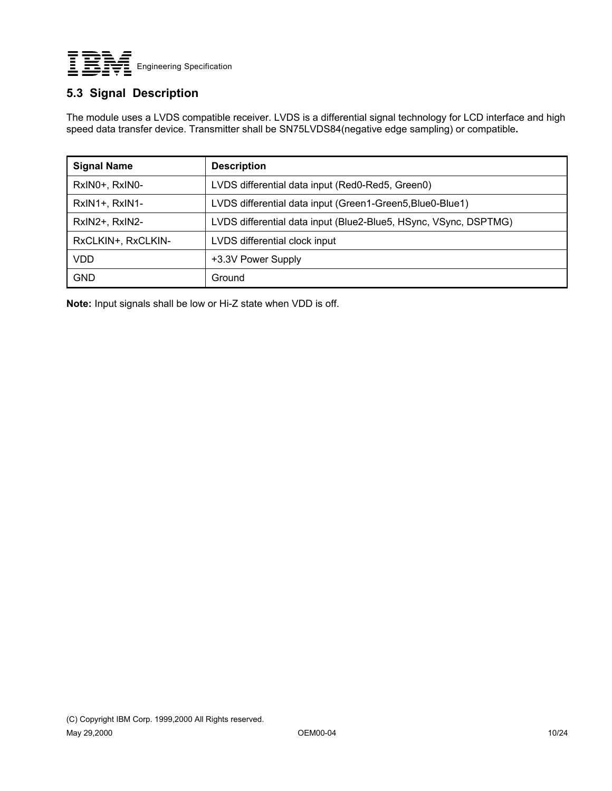

#### **5.3 Signal Description**

The module uses a LVDS compatible receiver. LVDS is a differential signal technology for LCD interface and high speed data transfer device. Transmitter shall be SN75LVDS84(negative edge sampling) or compatible**.**

| <b>Signal Name</b> | <b>Description</b>                                               |
|--------------------|------------------------------------------------------------------|
| RxINO+, RxINO-     | LVDS differential data input (Red0-Red5, Green0)                 |
| RxIN1+, RxIN1-     | LVDS differential data input (Green1-Green5, Blue0-Blue1)        |
| RxIN2+, RxIN2-     | LVDS differential data input (Blue2-Blue5, HSync, VSync, DSPTMG) |
| RxCLKIN+, RxCLKIN- | LVDS differential clock input                                    |
| <b>VDD</b>         | +3.3V Power Supply                                               |
| <b>GND</b>         | Ground                                                           |

**Note:** Input signals shall be low or Hi-Z state when VDD is off.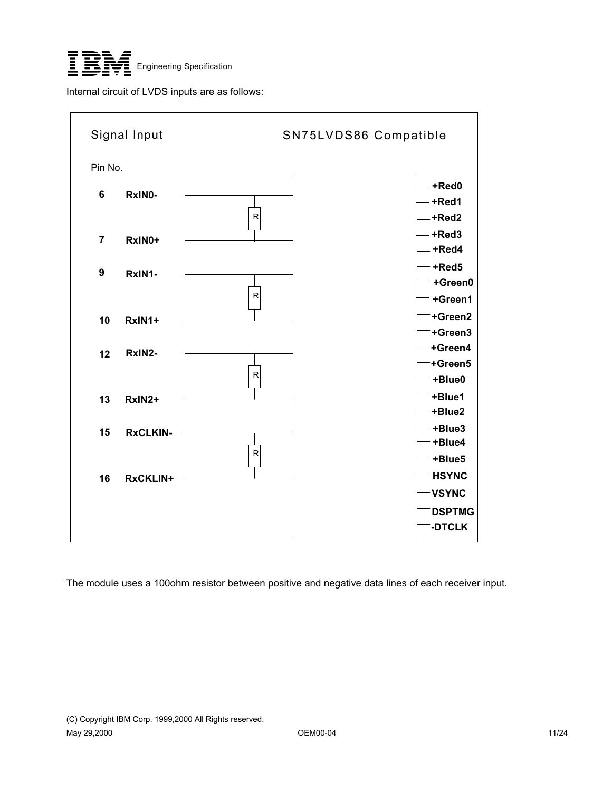

Internal circuit of LVDS inputs are as follows:



The module uses a 100ohm resistor between positive and negative data lines of each receiver input.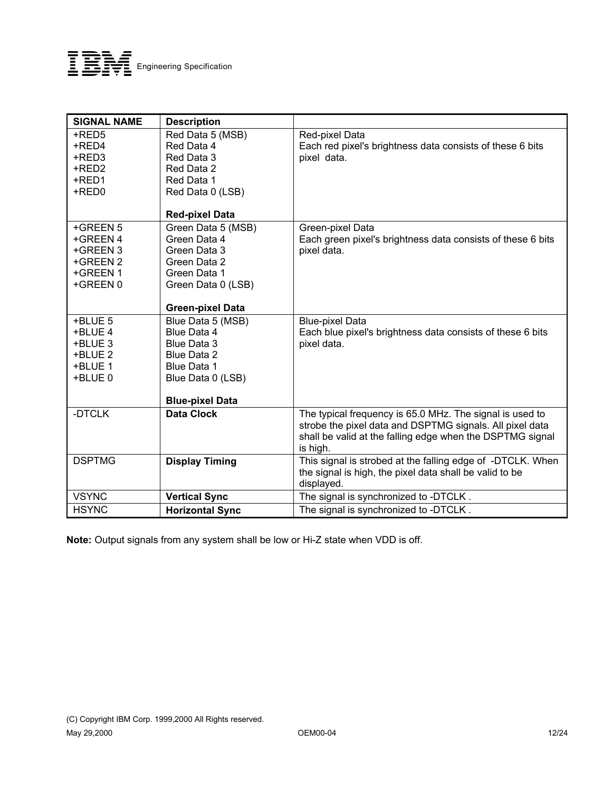

| <b>SIGNAL NAME</b>                                                   | <b>Description</b>                                                                                                           |                                                                                                                                     |
|----------------------------------------------------------------------|------------------------------------------------------------------------------------------------------------------------------|-------------------------------------------------------------------------------------------------------------------------------------|
| +RED5<br>+RED4<br>+RED3<br>+RED2<br>+RED1<br>+RED0                   | Red Data 5 (MSB)<br>Red Data 4<br>Red Data 3<br>Red Data 2<br>Red Data 1<br>Red Data 0 (LSB)                                 | Red-pixel Data<br>Each red pixel's brightness data consists of these 6 bits<br>pixel data.                                          |
|                                                                      | <b>Red-pixel Data</b>                                                                                                        |                                                                                                                                     |
| +GREEN 5<br>+GREEN 4<br>+GREEN 3<br>+GREEN 2<br>+GREEN 1<br>+GREEN 0 | Green Data 5 (MSB)<br>Green Data 4<br>Green Data 3<br>Green Data 2<br>Green Data 1<br>Green Data 0 (LSB)                     | Green-pixel Data<br>Each green pixel's brightness data consists of these 6 bits<br>pixel data.                                      |
|                                                                      | <b>Green-pixel Data</b>                                                                                                      |                                                                                                                                     |
| +BLUE 5<br>+BLUE 4<br>+BLUE 3<br>+BLUE 2<br>+BLUE 1<br>+BLUE 0       | Blue Data 5 (MSB)<br>Blue Data 4<br>Blue Data 3<br>Blue Data 2<br>Blue Data 1<br>Blue Data 0 (LSB)<br><b>Blue-pixel Data</b> | <b>Blue-pixel Data</b><br>Each blue pixel's brightness data consists of these 6 bits<br>pixel data.                                 |
| -DTCLK                                                               | <b>Data Clock</b>                                                                                                            | The typical frequency is 65.0 MHz. The signal is used to                                                                            |
|                                                                      |                                                                                                                              | strobe the pixel data and DSPTMG signals. All pixel data<br>shall be valid at the falling edge when the DSPTMG signal<br>is high.   |
| <b>DSPTMG</b>                                                        | <b>Display Timing</b>                                                                                                        | This signal is strobed at the falling edge of -DTCLK. When<br>the signal is high, the pixel data shall be valid to be<br>displayed. |
| <b>VSYNC</b>                                                         | <b>Vertical Sync</b>                                                                                                         | The signal is synchronized to -DTCLK.                                                                                               |
| <b>HSYNC</b>                                                         | <b>Horizontal Sync</b>                                                                                                       | The signal is synchronized to -DTCLK.                                                                                               |

**Note:** Output signals from any system shall be low or Hi-Z state when VDD is off.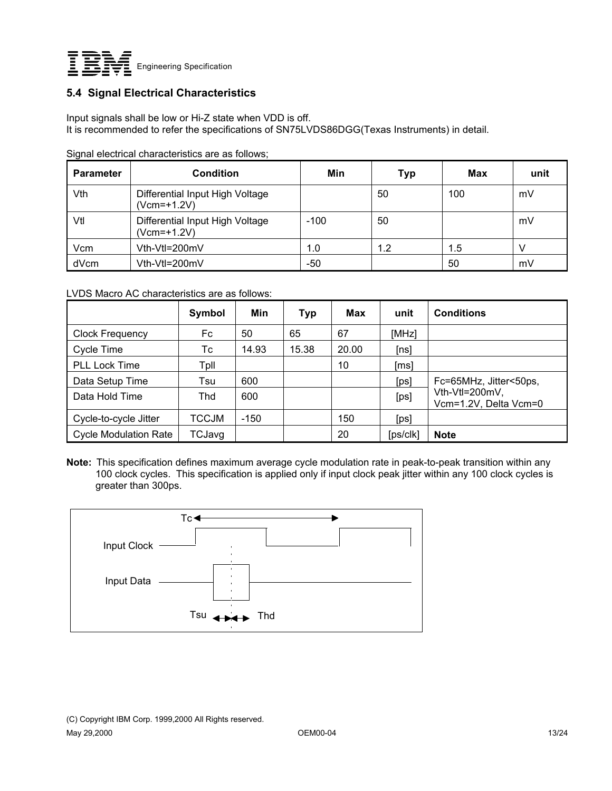

#### **5.4 Signal Electrical Characteristics**

Input signals shall be low or Hi-Z state when VDD is off. It is recommended to refer the specifications of SN75LVDS86DGG(Texas Instruments) in detail.

| <b>Parameter</b> | <b>Condition</b>                               | Min    | <b>Typ</b> | Max | unit |
|------------------|------------------------------------------------|--------|------------|-----|------|
| Vth              | Differential Input High Voltage<br>(Vcm=+1.2V) |        | 50         | 100 | mV   |
| Vtl              | Differential Input High Voltage<br>(Vcm=+1.2V) | $-100$ | 50         |     | mV   |
| Vcm              | Vth-Vtl=200mV                                  | 1.0    | 1.2        | 1.5 |      |
| dVcm             | Vth-Vtl=200mV                                  | -50    |            | 50  | mV   |

Signal electrical characteristics are as follows;

LVDS Macro AC characteristics are as follows:

|                              | Symbol | Min   | Typ   | <b>Max</b> | unit                 | <b>Conditions</b>                       |
|------------------------------|--------|-------|-------|------------|----------------------|-----------------------------------------|
| <b>Clock Frequency</b>       | Fc     | 50    | 65    | 67         | [MHz]                |                                         |
| Cycle Time                   | Тc     | 14.93 | 15.38 | 20.00      | [ns]                 |                                         |
| <b>PLL Lock Time</b>         | Tpll   |       |       | 10         | [ms]                 |                                         |
| Data Setup Time              | Tsu    | 600   |       |            | [ps]                 | Fc=65MHz, Jitter<50ps,                  |
| Data Hold Time               | Thd    | 600   |       |            | [ps]                 | Vth-Vtl=200mV,<br>Vcm=1.2V, Delta Vcm=0 |
| Cycle-to-cycle Jitter        | TCCJM  | -150  |       | 150        | [ps]                 |                                         |
| <b>Cycle Modulation Rate</b> | TCJavg |       |       | 20         | [ps/c <sub>k</sub> ] | <b>Note</b>                             |

**Note:** This specification defines maximum average cycle modulation rate in peak-to-peak transition within any 100 clock cycles. This specification is applied only if input clock peak jitter within any 100 clock cycles is greater than 300ps.



(C) Copyright IBM Corp. 1999,2000 All Rights reserved. May 29,2000 OEM00-04 13/24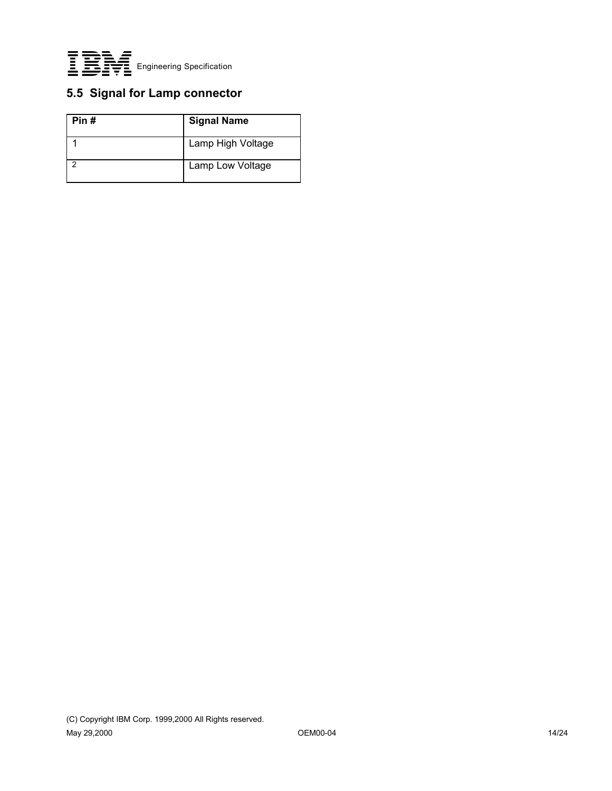

### **5.5 Signal for Lamp connector**

| Pin# | <b>Signal Name</b> |
|------|--------------------|
|      | Lamp High Voltage  |
|      | Lamp Low Voltage   |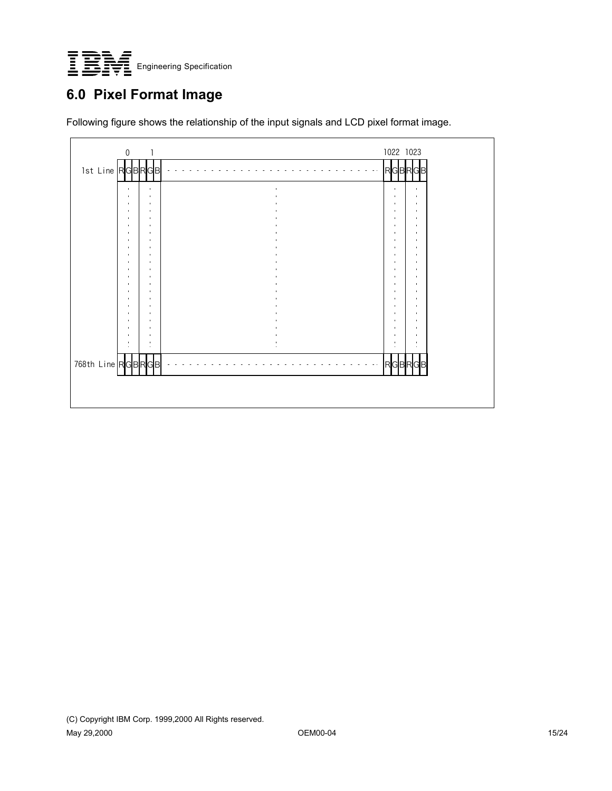

# **6.0 Pixel Format Image**

Following figure shows the relationship of the input signals and LCD pixel format image.

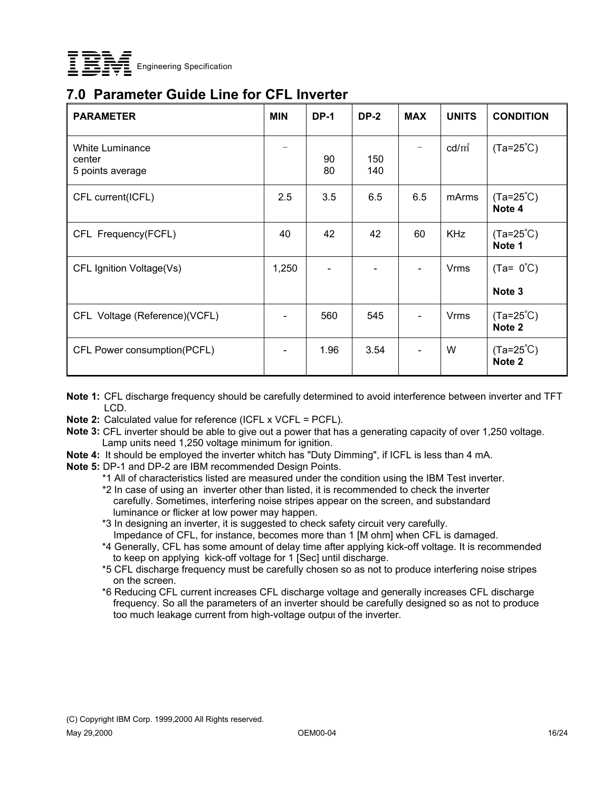

### **7.0 Parameter Guide Line for CFL Inverter**

| <b>PARAMETER</b>                                     | <b>MIN</b> | <b>DP-1</b> | <b>DP-2</b> | <b>MAX</b>     | <b>UNITS</b>    | <b>CONDITION</b>                        |
|------------------------------------------------------|------------|-------------|-------------|----------------|-----------------|-----------------------------------------|
| <b>White Luminance</b><br>center<br>5 points average |            | 90<br>80    | 150<br>140  |                | $\text{cd/m}^2$ | $(Ta=25^{\circ}C)$                      |
| CFL current(ICFL)                                    | 2.5        | 3.5         | 6.5         | 6.5            | mArms           | $(Ta=25^{\circ}C)$<br>Note 4            |
| CFL Frequency(FCFL)                                  | 40         | 42          | 42          | 60             | <b>KHz</b>      | $(Ta=25^{\circ}C)$<br>Note 1            |
| CFL Ignition Voltage(Vs)                             | 1,250      |             |             |                | Vrms            | $(Ta = 0^{\circ}C)$<br>Note 3           |
| CFL Voltage (Reference)(VCFL)                        |            | 560         | 545         | $\blacksquare$ | <b>Vrms</b>     | $(Ta=25^{\circ}C)$<br>Note <sub>2</sub> |
| CFL Power consumption(PCFL)                          |            | 1.96        | 3.54        |                | W               | $(Ta=25^{\circ}C)$<br>Note <sub>2</sub> |

- **Note 1:** CFL discharge frequency should be carefully determined to avoid interference between inverter and TFT LCD.
- **Note 2:** Calculated value for reference (ICFL x VCFL = PCFL).
- **Note 3:** CFL inverter should be able to give out a power that has a generating capacity of over 1,250 voltage. Lamp units need 1,250 voltage minimum for ignition.
- **Note 4:** It should be employed the inverter whitch has "Duty Dimming", if ICFL is less than 4 mA.
- **Note 5:** DP-1 and DP-2 are IBM recommended Design Points.
	- \*1 All of characteristics listed are measured under the condition using the IBM Test inverter.
	- \*2 In case of using an inverter other than listed, it is recommended to check the inverter carefully. Sometimes, interfering noise stripes appear on the screen, and substandard luminance or flicker at low power may happen.
	- \*3 In designing an inverter, it is suggested to check safety circuit very carefully. Impedance of CFL, for instance, becomes more than 1 [M ohm] when CFL is damaged.
	- \*4 Generally, CFL has some amount of delay time after applying kick-off voltage. It is recommended to keep on applying kick-off voltage for 1 [Sec] until discharge.
	- \*5 CFL discharge frequency must be carefully chosen so as not to produce interfering noise stripes on the screen.
	- \*6 Reducing CFL current increases CFL discharge voltage and generally increases CFL discharge frequency. So all the parameters of an inverter should be carefully designed so as not to produce too much leakage current from high-voltage output of the inverter.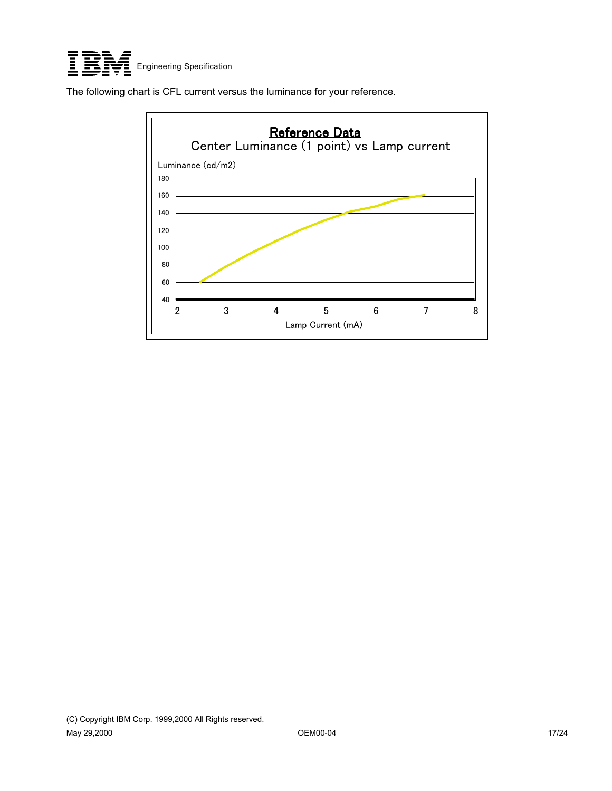

The following chart is CFL current versus the luminance for your reference.

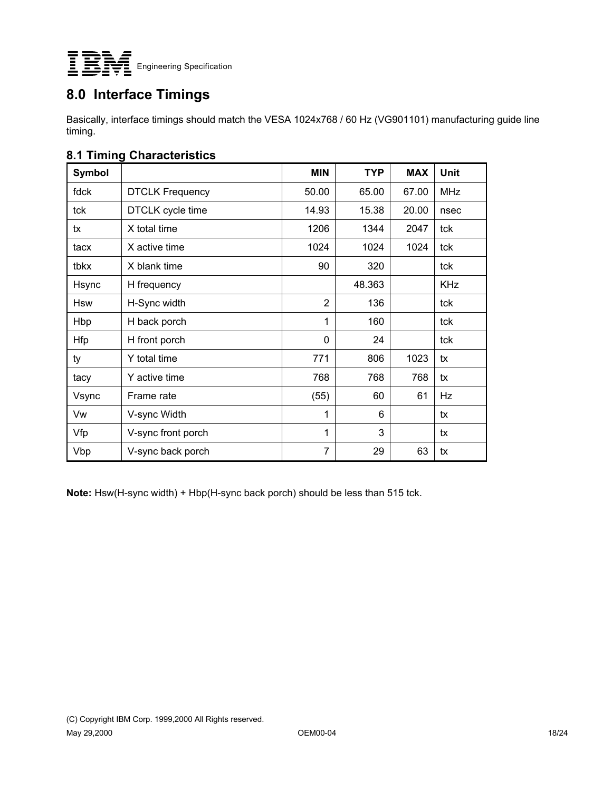

### **8.0 Interface Timings**

Basically, interface timings should match the VESA 1024x768 / 60 Hz (VG901101) manufacturing guide line timing.

#### **8.1 Timing Characteristics**

| Symbol     |                        | <b>MIN</b>     | <b>TYP</b> | <b>MAX</b> | Unit       |
|------------|------------------------|----------------|------------|------------|------------|
| fdck       | <b>DTCLK Frequency</b> | 50.00          | 65.00      | 67.00      | <b>MHz</b> |
| tck        | DTCLK cycle time       | 14.93          | 15.38      | 20.00      | nsec       |
| tx         | X total time           | 1206           | 1344       | 2047       | tck        |
| tacx       | X active time          | 1024           | 1024       | 1024       | tck        |
| tbkx       | X blank time           | 90             | 320        |            | tck        |
| Hsync      | H frequency            |                | 48.363     |            | <b>KHz</b> |
| <b>Hsw</b> | H-Sync width           | $\overline{2}$ | 136        |            | tck        |
| Hbp        | H back porch           | 1              | 160        |            | tck        |
| <b>Hfp</b> | H front porch          | 0              | 24         |            | tck        |
| ty         | Y total time           | 771            | 806        | 1023       | tx         |
| tacy       | Y active time          | 768            | 768        | 768        | tx         |
| Vsync      | Frame rate             | (55)           | 60         | 61         | Hz         |
| Vw         | V-sync Width           | 1              | 6          |            | tx         |
| Vfp        | V-sync front porch     | 1              | 3          |            | tx         |
| Vbp        | V-sync back porch      | 7              | 29         | 63         | tx         |

**Note:** Hsw(H-sync width) + Hbp(H-sync back porch) should be less than 515 tck.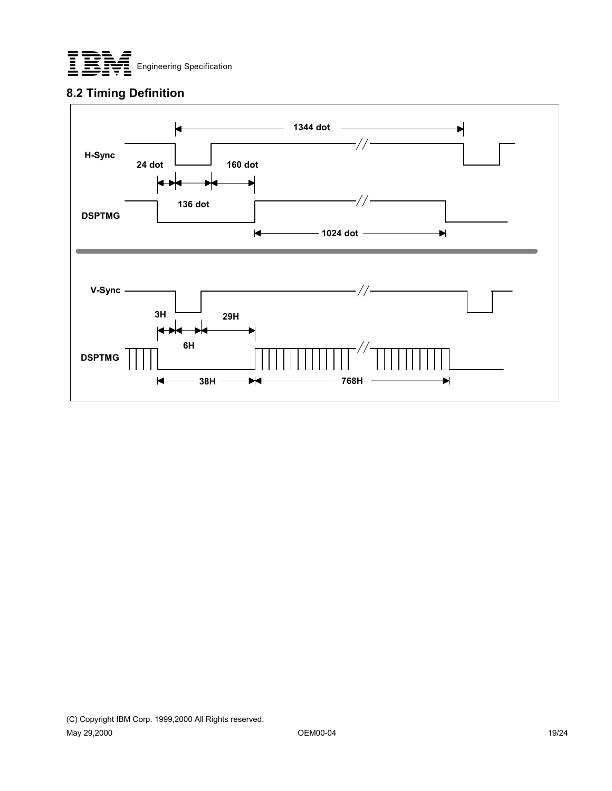

#### **8.2 Timing Definition**

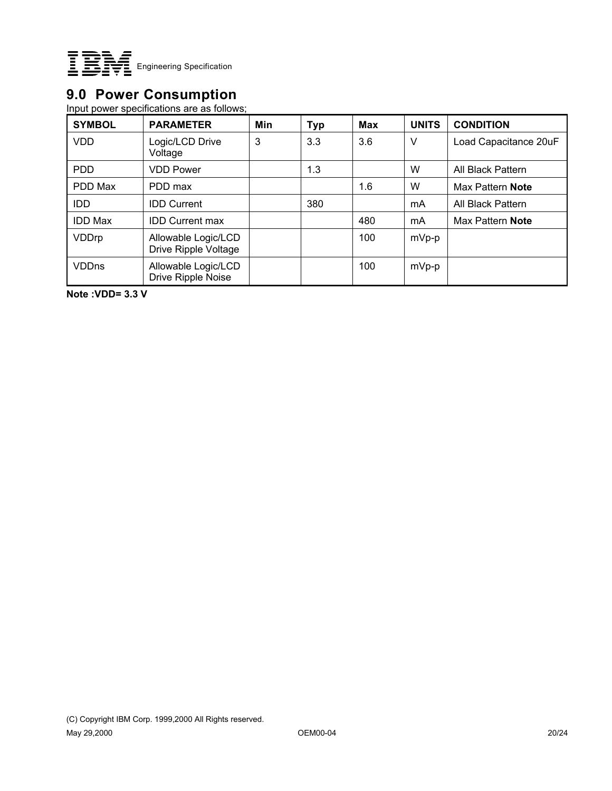

### **9.0 Power Consumption**

Input power specifications are as follows;

| <b>SYMBOL</b>  | <b>PARAMETER</b>                            | Min | <b>Typ</b> | <b>Max</b> | <b>UNITS</b> | <b>CONDITION</b>      |
|----------------|---------------------------------------------|-----|------------|------------|--------------|-----------------------|
| <b>VDD</b>     | Logic/LCD Drive<br>Voltage                  | 3   | 3.3        | 3.6        | V            | Load Capacitance 20uF |
| <b>PDD</b>     | <b>VDD Power</b>                            |     | 1.3        |            | W            | All Black Pattern     |
| PDD Max        | PDD max                                     |     |            | 1.6        | W            | Max Pattern Note      |
| <b>IDD</b>     | <b>IDD Current</b>                          |     | 380        |            | mA           | All Black Pattern     |
| <b>IDD Max</b> | <b>IDD Current max</b>                      |     |            | 480        | mA           | Max Pattern Note      |
| VDDrp          | Allowable Logic/LCD<br>Drive Ripple Voltage |     |            | 100        | $mVp-p$      |                       |
| <b>VDDns</b>   | Allowable Logic/LCD<br>Drive Ripple Noise   |     |            | 100        | $mVp-p$      |                       |

**Note :VDD= 3.3 V**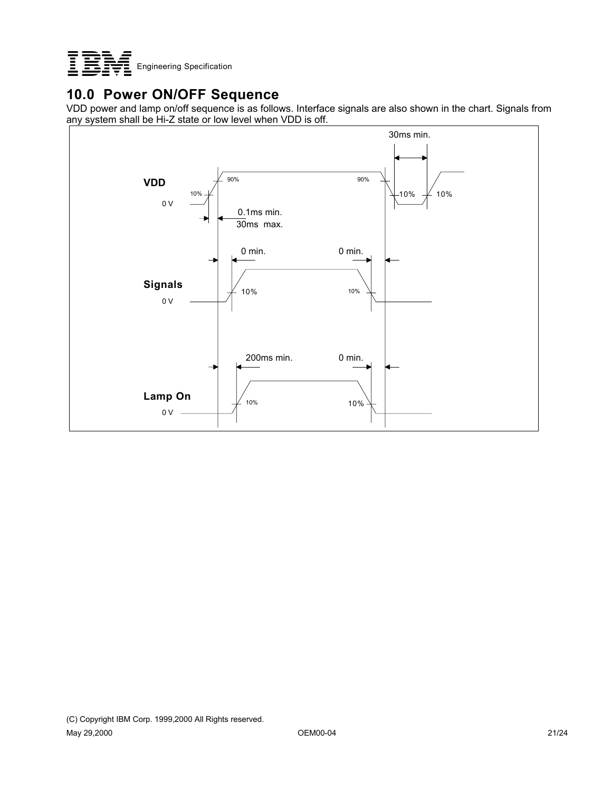

## **10.0 Power ON/OFF Sequence**

VDD power and lamp on/off sequence is as follows. Interface signals are also shown in the chart. Signals from any system shall be Hi-Z state or low level when VDD is off.

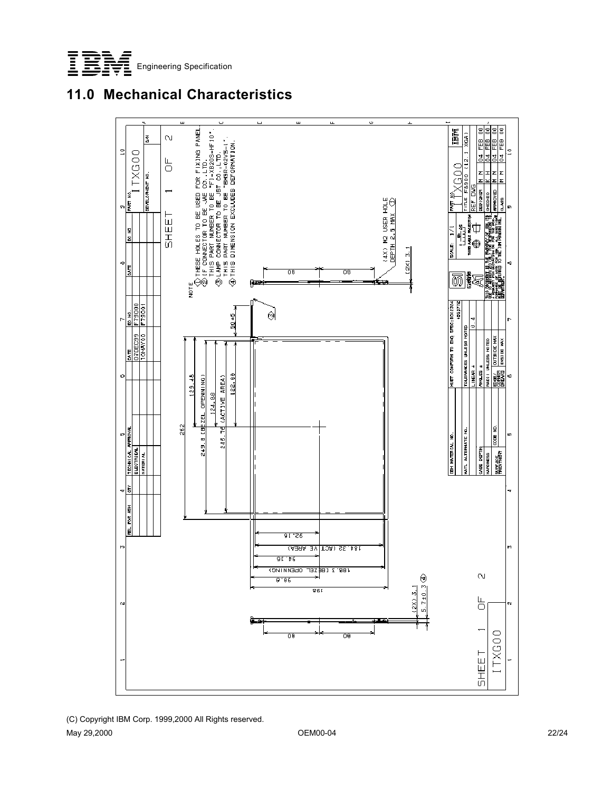





(C) Copyright IBM Corp. 1999,2000 All Rights reserved. May 29,2000 OEM00-04 22/24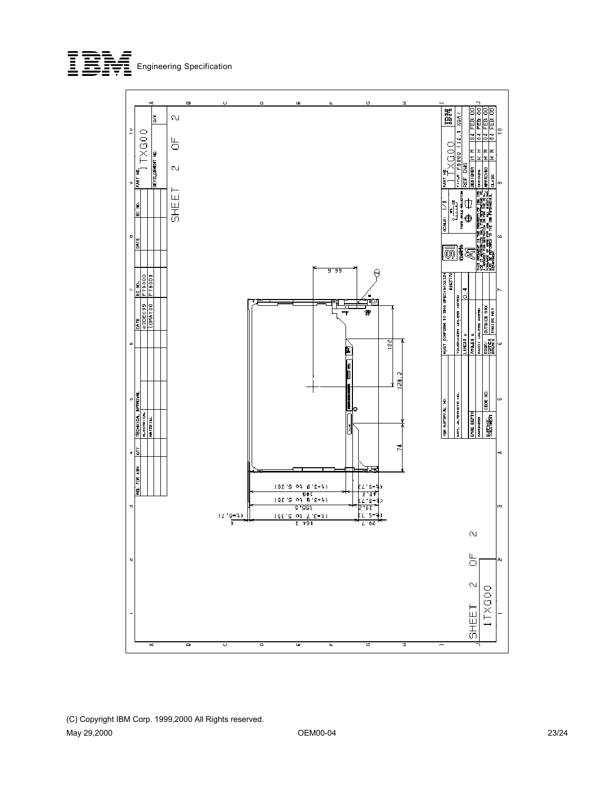



(C) Copyright IBM Corp. 1999,2000 All Rights reserved. May 29,2000 OEM00-04 23/24